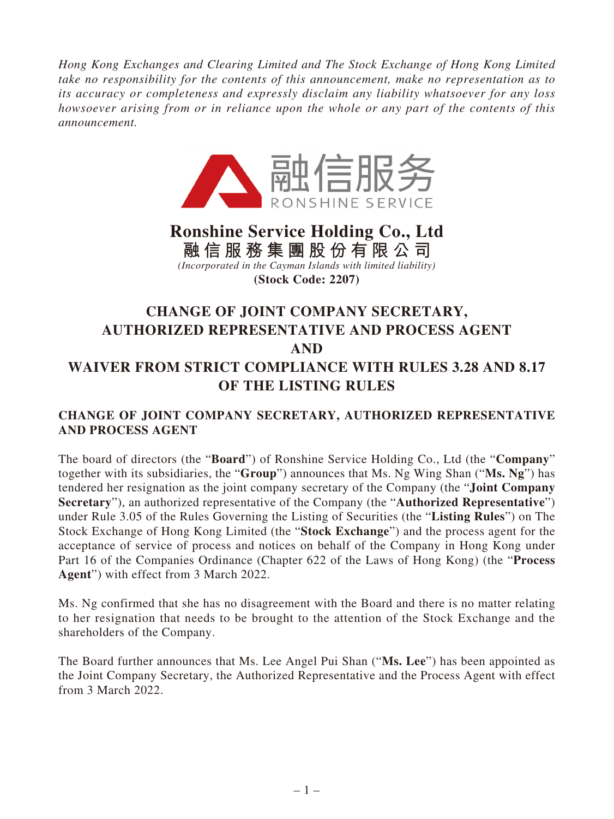*Hong Kong Exchanges and Clearing Limited and The Stock Exchange of Hong Kong Limited take no responsibility for the contents of this announcement, make no representation as to its accuracy or completeness and expressly disclaim any liability whatsoever for any loss howsoever arising from or in reliance upon the whole or any part of the contents of this announcement.*



## **Ronshine Service Holding Co., Ltd 融信服務集團股份有限公司** *(Incorporated in the Cayman Islands with limited liability)* **(Stock Code: 2207)**

## **CHANGE OF JOINT COMPANY SECRETARY, AUTHORIZED REPRESENTATIVE AND PROCESS AGENT AND WAIVER FROM STRICT COMPLIANCE WITH RULES 3.28 AND 8.17 OF THE LISTING RULES**

## **CHANGE OF JOINT COMPANY SECRETARY, AUTHORIZED REPRESENTATIVE AND PROCESS AGENT**

The board of directors (the "**Board**") of Ronshine Service Holding Co., Ltd (the "**Company**" together with its subsidiaries, the "**Group**") announces that Ms. Ng Wing Shan ("**Ms. Ng**") has tendered her resignation as the joint company secretary of the Company (the "**Joint Company Secretary**"), an authorized representative of the Company (the "**Authorized Representative**") under Rule 3.05 of the Rules Governing the Listing of Securities (the "**Listing Rules**") on The Stock Exchange of Hong Kong Limited (the "**Stock Exchange**") and the process agent for the acceptance of service of process and notices on behalf of the Company in Hong Kong under Part 16 of the Companies Ordinance (Chapter 622 of the Laws of Hong Kong) (the "**Process Agent**") with effect from 3 March 2022.

Ms. Ng confirmed that she has no disagreement with the Board and there is no matter relating to her resignation that needs to be brought to the attention of the Stock Exchange and the shareholders of the Company.

The Board further announces that Ms. Lee Angel Pui Shan ("**Ms. Lee**") has been appointed as the Joint Company Secretary, the Authorized Representative and the Process Agent with effect from 3 March 2022.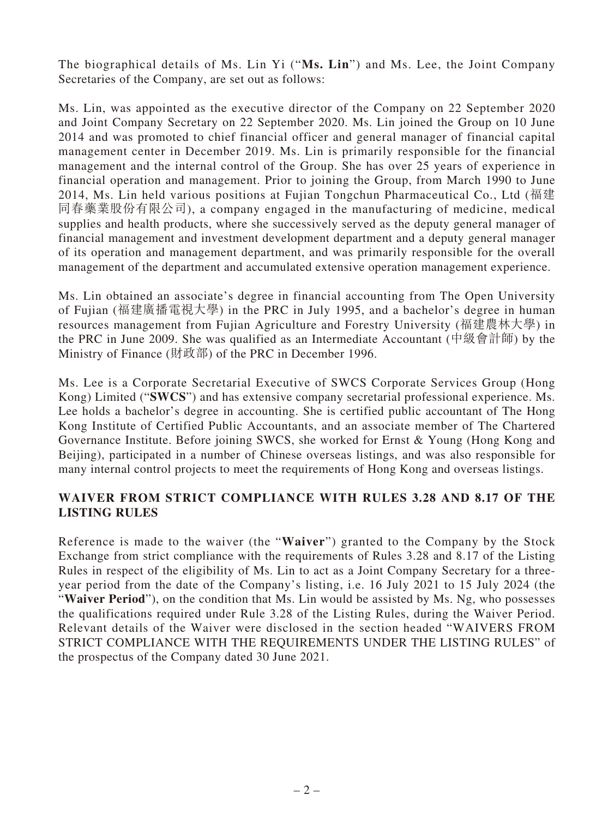The biographical details of Ms. Lin Yi ("**Ms. Lin**") and Ms. Lee, the Joint Company Secretaries of the Company, are set out as follows:

Ms. Lin, was appointed as the executive director of the Company on 22 September 2020 and Joint Company Secretary on 22 September 2020. Ms. Lin joined the Group on 10 June 2014 and was promoted to chief financial officer and general manager of financial capital management center in December 2019. Ms. Lin is primarily responsible for the financial management and the internal control of the Group. She has over 25 years of experience in financial operation and management. Prior to joining the Group, from March 1990 to June 2014, Ms. Lin held various positions at Fujian Tongchun Pharmaceutical Co., Ltd (福建 同春藥業股份有限公司), a company engaged in the manufacturing of medicine, medical supplies and health products, where she successively served as the deputy general manager of financial management and investment development department and a deputy general manager of its operation and management department, and was primarily responsible for the overall management of the department and accumulated extensive operation management experience.

Ms. Lin obtained an associate's degree in financial accounting from The Open University of Fujian (福建廣播電視大學) in the PRC in July 1995, and a bachelor's degree in human resources management from Fujian Agriculture and Forestry University (福建農林大學) in the PRC in June 2009. She was qualified as an Intermediate Accountant (中級會計師) by the Ministry of Finance (財政部) of the PRC in December 1996.

Ms. Lee is a Corporate Secretarial Executive of SWCS Corporate Services Group (Hong Kong) Limited ("**SWCS**") and has extensive company secretarial professional experience. Ms. Lee holds a bachelor's degree in accounting. She is certified public accountant of The Hong Kong Institute of Certified Public Accountants, and an associate member of The Chartered Governance Institute. Before joining SWCS, she worked for Ernst & Young (Hong Kong and Beijing), participated in a number of Chinese overseas listings, and was also responsible for many internal control projects to meet the requirements of Hong Kong and overseas listings.

## **WAIVER FROM STRICT COMPLIANCE WITH RULES 3.28 AND 8.17 OF THE LISTING RULES**

Reference is made to the waiver (the "**Waiver**") granted to the Company by the Stock Exchange from strict compliance with the requirements of Rules 3.28 and 8.17 of the Listing Rules in respect of the eligibility of Ms. Lin to act as a Joint Company Secretary for a threeyear period from the date of the Company's listing, i.e. 16 July 2021 to 15 July 2024 (the "**Waiver Period**"), on the condition that Ms. Lin would be assisted by Ms. Ng, who possesses the qualifications required under Rule 3.28 of the Listing Rules, during the Waiver Period. Relevant details of the Waiver were disclosed in the section headed "WAIVERS FROM STRICT COMPLIANCE WITH THE REQUIREMENTS UNDER THE LISTING RULES" of the prospectus of the Company dated 30 June 2021.